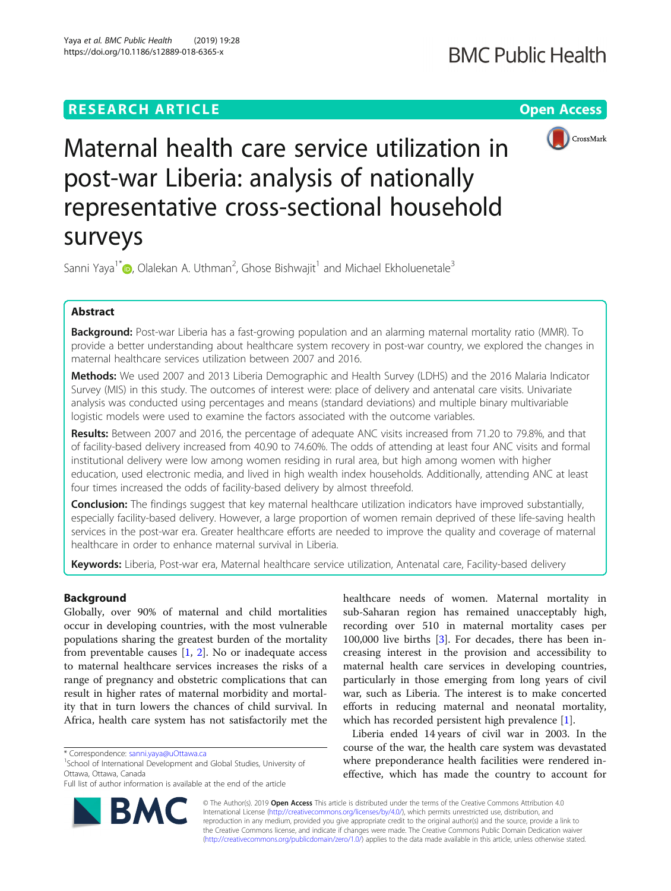# **RESEARCH ARTICLE Example 2018 12:30 The Contract of Contract Access**



Maternal health care service utilization in post-war Liberia: analysis of nationally representative cross-sectional household surveys

Sanni Yaya<sup>1\*</sup>�, Olalekan A. Uthman<sup>2</sup>, Ghose Bishwajit<sup>1</sup> and Michael Ekholuenetale<sup>3</sup>

# Abstract

Background: Post-war Liberia has a fast-growing population and an alarming maternal mortality ratio (MMR). To provide a better understanding about healthcare system recovery in post-war country, we explored the changes in maternal healthcare services utilization between 2007 and 2016.

Methods: We used 2007 and 2013 Liberia Demographic and Health Survey (LDHS) and the 2016 Malaria Indicator Survey (MIS) in this study. The outcomes of interest were: place of delivery and antenatal care visits. Univariate analysis was conducted using percentages and means (standard deviations) and multiple binary multivariable logistic models were used to examine the factors associated with the outcome variables.

Results: Between 2007 and 2016, the percentage of adequate ANC visits increased from 71.20 to 79.8%, and that of facility-based delivery increased from 40.90 to 74.60%. The odds of attending at least four ANC visits and formal institutional delivery were low among women residing in rural area, but high among women with higher education, used electronic media, and lived in high wealth index households. Additionally, attending ANC at least four times increased the odds of facility-based delivery by almost threefold.

**Conclusion:** The findings suggest that key maternal healthcare utilization indicators have improved substantially, especially facility-based delivery. However, a large proportion of women remain deprived of these life-saving health services in the post-war era. Greater healthcare efforts are needed to improve the quality and coverage of maternal healthcare in order to enhance maternal survival in Liberia.

Keywords: Liberia, Post-war era, Maternal healthcare service utilization, Antenatal care, Facility-based delivery

## Background

Globally, over 90% of maternal and child mortalities occur in developing countries, with the most vulnerable populations sharing the greatest burden of the mortality from preventable causes  $[1, 2]$  $[1, 2]$  $[1, 2]$ . No or inadequate access to maternal healthcare services increases the risks of a range of pregnancy and obstetric complications that can result in higher rates of maternal morbidity and mortality that in turn lowers the chances of child survival. In Africa, health care system has not satisfactorily met the

<sup>1</sup>School of International Development and Global Studies, University of Ottawa, Ottawa, Canada

Full list of author information is available at the end of the article



healthcare needs of women. Maternal mortality in sub-Saharan region has remained unacceptably high, recording over 510 in maternal mortality cases per 100,000 live births [[3\]](#page-10-0). For decades, there has been increasing interest in the provision and accessibility to maternal health care services in developing countries, particularly in those emerging from long years of civil war, such as Liberia. The interest is to make concerted efforts in reducing maternal and neonatal mortality, which has recorded persistent high prevalence [[1\]](#page-10-0).

Liberia ended 14 years of civil war in 2003. In the course of the war, the health care system was devastated where preponderance health facilities were rendered ineffective, which has made the country to account for

© The Author(s). 2019 Open Access This article is distributed under the terms of the Creative Commons Attribution 4.0 International License [\(http://creativecommons.org/licenses/by/4.0/](http://creativecommons.org/licenses/by/4.0/)), which permits unrestricted use, distribution, and reproduction in any medium, provided you give appropriate credit to the original author(s) and the source, provide a link to the Creative Commons license, and indicate if changes were made. The Creative Commons Public Domain Dedication waiver [\(http://creativecommons.org/publicdomain/zero/1.0/](http://creativecommons.org/publicdomain/zero/1.0/)) applies to the data made available in this article, unless otherwise stated.

<sup>\*</sup> Correspondence: [sanni.yaya@uOttawa.ca](mailto:sanni.yaya@uOttawa.ca) <sup>1</sup>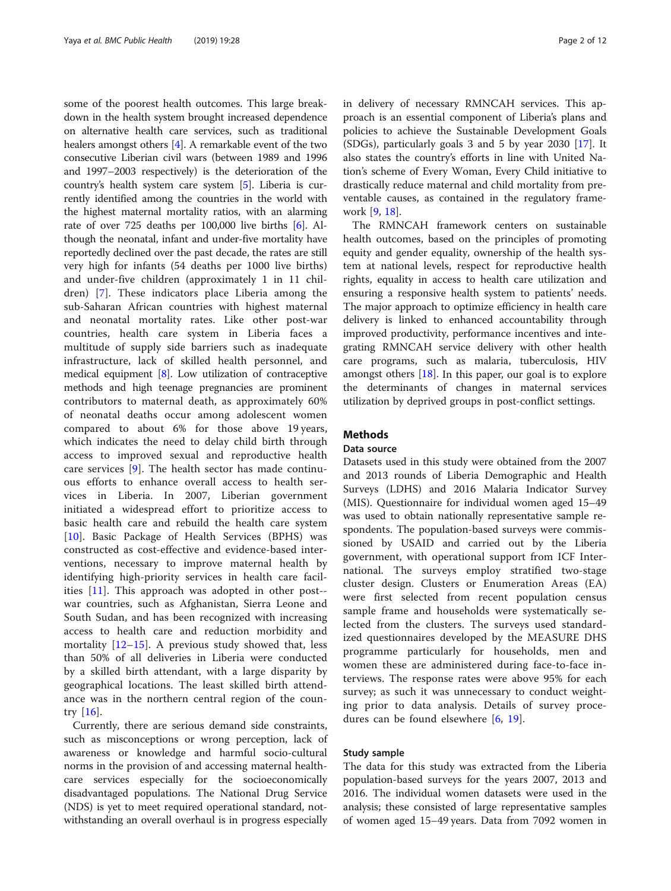some of the poorest health outcomes. This large breakdown in the health system brought increased dependence on alternative health care services, such as traditional healers amongst others  $[4]$ . A remarkable event of the two consecutive Liberian civil wars (between 1989 and 1996 and 1997–2003 respectively) is the deterioration of the country's health system care system [[5](#page-10-0)]. Liberia is currently identified among the countries in the world with the highest maternal mortality ratios, with an alarming rate of over 725 deaths per 100,000 live births [\[6\]](#page-10-0). Although the neonatal, infant and under-five mortality have reportedly declined over the past decade, the rates are still very high for infants (54 deaths per 1000 live births) and under-five children (approximately 1 in 11 children) [[7](#page-10-0)]. These indicators place Liberia among the sub-Saharan African countries with highest maternal and neonatal mortality rates. Like other post-war countries, health care system in Liberia faces a multitude of supply side barriers such as inadequate infrastructure, lack of skilled health personnel, and medical equipment [\[8\]](#page-10-0). Low utilization of contraceptive methods and high teenage pregnancies are prominent contributors to maternal death, as approximately 60% of neonatal deaths occur among adolescent women compared to about 6% for those above 19 years, which indicates the need to delay child birth through access to improved sexual and reproductive health care services [\[9](#page-10-0)]. The health sector has made continuous efforts to enhance overall access to health services in Liberia. In 2007, Liberian government initiated a widespread effort to prioritize access to basic health care and rebuild the health care system [[10\]](#page-10-0). Basic Package of Health Services (BPHS) was constructed as cost-effective and evidence-based interventions, necessary to improve maternal health by identifying high-priority services in health care facilities [[11\]](#page-10-0). This approach was adopted in other post- war countries, such as Afghanistan, Sierra Leone and South Sudan, and has been recognized with increasing access to health care and reduction morbidity and mortality  $[12-15]$  $[12-15]$  $[12-15]$  $[12-15]$ . A previous study showed that, less than 50% of all deliveries in Liberia were conducted by a skilled birth attendant, with a large disparity by geographical locations. The least skilled birth attendance was in the northern central region of the country [\[16](#page-10-0)].

Currently, there are serious demand side constraints, such as misconceptions or wrong perception, lack of awareness or knowledge and harmful socio-cultural norms in the provision of and accessing maternal healthcare services especially for the socioeconomically disadvantaged populations. The National Drug Service (NDS) is yet to meet required operational standard, notwithstanding an overall overhaul is in progress especially in delivery of necessary RMNCAH services. This approach is an essential component of Liberia's plans and policies to achieve the Sustainable Development Goals (SDGs), particularly goals 3 and 5 by year 2030 [\[17\]](#page-10-0). It also states the country's efforts in line with United Nation's scheme of Every Woman, Every Child initiative to drastically reduce maternal and child mortality from preventable causes, as contained in the regulatory framework [\[9](#page-10-0), [18](#page-10-0)].

The RMNCAH framework centers on sustainable health outcomes, based on the principles of promoting equity and gender equality, ownership of the health system at national levels, respect for reproductive health rights, equality in access to health care utilization and ensuring a responsive health system to patients' needs. The major approach to optimize efficiency in health care delivery is linked to enhanced accountability through improved productivity, performance incentives and integrating RMNCAH service delivery with other health care programs, such as malaria, tuberculosis, HIV amongst others [\[18](#page-10-0)]. In this paper, our goal is to explore the determinants of changes in maternal services utilization by deprived groups in post-conflict settings.

# **Methods**

### Data source

Datasets used in this study were obtained from the 2007 and 2013 rounds of Liberia Demographic and Health Surveys (LDHS) and 2016 Malaria Indicator Survey (MIS). Questionnaire for individual women aged 15–49 was used to obtain nationally representative sample respondents. The population-based surveys were commissioned by USAID and carried out by the Liberia government, with operational support from ICF International. The surveys employ stratified two-stage cluster design. Clusters or Enumeration Areas (EA) were first selected from recent population census sample frame and households were systematically selected from the clusters. The surveys used standardized questionnaires developed by the MEASURE DHS programme particularly for households, men and women these are administered during face-to-face interviews. The response rates were above 95% for each survey; as such it was unnecessary to conduct weighting prior to data analysis. Details of survey procedures can be found elsewhere [[6,](#page-10-0) [19\]](#page-10-0).

### Study sample

The data for this study was extracted from the Liberia population-based surveys for the years 2007, 2013 and 2016. The individual women datasets were used in the analysis; these consisted of large representative samples of women aged 15–49 years. Data from 7092 women in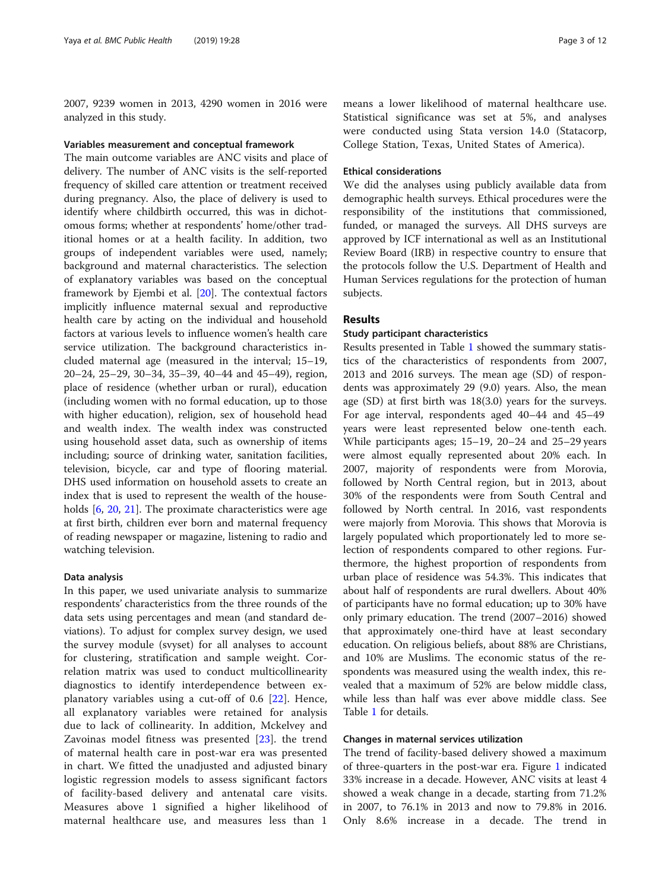2007, 9239 women in 2013, 4290 women in 2016 were analyzed in this study.

#### Variables measurement and conceptual framework

The main outcome variables are ANC visits and place of delivery. The number of ANC visits is the self-reported frequency of skilled care attention or treatment received during pregnancy. Also, the place of delivery is used to identify where childbirth occurred, this was in dichotomous forms; whether at respondents' home/other traditional homes or at a health facility. In addition, two groups of independent variables were used, namely; background and maternal characteristics. The selection of explanatory variables was based on the conceptual framework by Ejembi et al. [\[20](#page-10-0)]. The contextual factors implicitly influence maternal sexual and reproductive health care by acting on the individual and household factors at various levels to influence women's health care service utilization. The background characteristics included maternal age (measured in the interval; 15–19, 20–24, 25–29, 30–34, 35–39, 40–44 and 45–49), region, place of residence (whether urban or rural), education (including women with no formal education, up to those with higher education), religion, sex of household head and wealth index. The wealth index was constructed using household asset data, such as ownership of items including; source of drinking water, sanitation facilities, television, bicycle, car and type of flooring material. DHS used information on household assets to create an index that is used to represent the wealth of the households [\[6,](#page-10-0) [20](#page-10-0), [21](#page-10-0)]. The proximate characteristics were age at first birth, children ever born and maternal frequency of reading newspaper or magazine, listening to radio and watching television.

### Data analysis

In this paper, we used univariate analysis to summarize respondents' characteristics from the three rounds of the data sets using percentages and mean (and standard deviations). To adjust for complex survey design, we used the survey module (svyset) for all analyses to account for clustering, stratification and sample weight. Correlation matrix was used to conduct multicollinearity diagnostics to identify interdependence between explanatory variables using a cut-off of 0.6 [[22\]](#page-11-0). Hence, all explanatory variables were retained for analysis due to lack of collinearity. In addition, Mckelvey and Zavoinas model fitness was presented [[23\]](#page-11-0). the trend of maternal health care in post-war era was presented in chart. We fitted the unadjusted and adjusted binary logistic regression models to assess significant factors of facility-based delivery and antenatal care visits. Measures above 1 signified a higher likelihood of maternal healthcare use, and measures less than 1

means a lower likelihood of maternal healthcare use. Statistical significance was set at 5%, and analyses were conducted using Stata version 14.0 (Statacorp, College Station, Texas, United States of America).

#### Ethical considerations

We did the analyses using publicly available data from demographic health surveys. Ethical procedures were the responsibility of the institutions that commissioned, funded, or managed the surveys. All DHS surveys are approved by ICF international as well as an Institutional Review Board (IRB) in respective country to ensure that the protocols follow the U.S. Department of Health and Human Services regulations for the protection of human subjects.

### Results

### Study participant characteristics

Results presented in Table [1](#page-3-0) showed the summary statistics of the characteristics of respondents from 2007, 2013 and 2016 surveys. The mean age (SD) of respondents was approximately 29 (9.0) years. Also, the mean age (SD) at first birth was 18(3.0) years for the surveys. For age interval, respondents aged 40–44 and 45–49 years were least represented below one-tenth each. While participants ages; 15–19, 20–24 and 25–29 years were almost equally represented about 20% each. In 2007, majority of respondents were from Morovia, followed by North Central region, but in 2013, about 30% of the respondents were from South Central and followed by North central. In 2016, vast respondents were majorly from Morovia. This shows that Morovia is largely populated which proportionately led to more selection of respondents compared to other regions. Furthermore, the highest proportion of respondents from urban place of residence was 54.3%. This indicates that about half of respondents are rural dwellers. About 40% of participants have no formal education; up to 30% have only primary education. The trend (2007–2016) showed that approximately one-third have at least secondary education. On religious beliefs, about 88% are Christians, and 10% are Muslims. The economic status of the respondents was measured using the wealth index, this revealed that a maximum of 52% are below middle class, while less than half was ever above middle class. See Table [1](#page-3-0) for details.

#### Changes in maternal services utilization

The trend of facility-based delivery showed a maximum of three-quarters in the post-war era. Figure [1](#page-4-0) indicated 33% increase in a decade. However, ANC visits at least 4 showed a weak change in a decade, starting from 71.2% in 2007, to 76.1% in 2013 and now to 79.8% in 2016. Only 8.6% increase in a decade. The trend in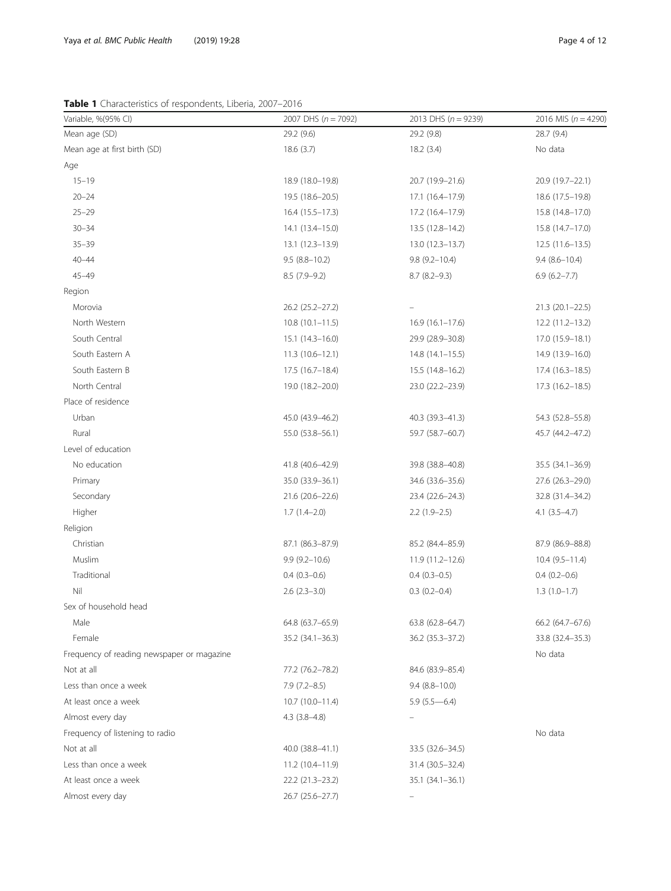<span id="page-3-0"></span>Table 1 Characteristics of respondents, Liberia, 2007-2016

| Variable, %(95% CI)                        | 2007 DHS $(n = 7092)$ | 2013 DHS $(n = 9239)$ | 2016 MIS ( $n = 4290$ ) |
|--------------------------------------------|-----------------------|-----------------------|-------------------------|
| Mean age (SD)                              | 29.2 (9.6)            | 29.2 (9.8)            | 28.7 (9.4)              |
| Mean age at first birth (SD)               | 18.6(3.7)             | 18.2(3.4)             | No data                 |
| Age                                        |                       |                       |                         |
| $15 - 19$                                  | 18.9 (18.0-19.8)      | 20.7 (19.9-21.6)      | 20.9 (19.7–22.1)        |
| $20 - 24$                                  | 19.5 (18.6-20.5)      | 17.1 (16.4–17.9)      | 18.6 (17.5-19.8)        |
| $25 - 29$                                  | 16.4 (15.5-17.3)      | 17.2 (16.4-17.9)      | 15.8 (14.8-17.0)        |
| $30 - 34$                                  | 14.1 (13.4–15.0)      | $13.5(12.8-14.2)$     | 15.8 (14.7-17.0)        |
| $35 - 39$                                  | 13.1 (12.3-13.9)      | 13.0 (12.3-13.7)      | $12.5(11.6-13.5)$       |
| $40 - 44$                                  | $9.5(8.8-10.2)$       | $9.8(9.2 - 10.4)$     | $9.4(8.6-10.4)$         |
| $45 - 49$                                  | $8.5(7.9-9.2)$        | $8.7(8.2-9.3)$        | $6.9(6.2 - 7.7)$        |
| Region                                     |                       |                       |                         |
| Morovia                                    | 26.2 (25.2-27.2)      |                       | 21.3 (20.1-22.5)        |
| North Western                              | $10.8(10.1-11.5)$     | $16.9(16.1-17.6)$     | 12.2 (11.2-13.2)        |
| South Central                              | $15.1(14.3-16.0)$     | 29.9 (28.9-30.8)      | 17.0 (15.9-18.1)        |
| South Eastern A                            | $11.3(10.6 - 12.1)$   | $14.8(14.1-15.5)$     | 14.9 (13.9-16.0)        |
| South Eastern B                            | $17.5(16.7-18.4)$     | $15.5(14.8 - 16.2)$   | $17.4(16.3-18.5)$       |
| North Central                              | 19.0 (18.2-20.0)      | 23.0 (22.2-23.9)      | 17.3 (16.2-18.5)        |
| Place of residence                         |                       |                       |                         |
| Urban                                      | 45.0 (43.9-46.2)      | 40.3 (39.3-41.3)      | 54.3 (52.8-55.8)        |
| Rural                                      | 55.0 (53.8-56.1)      | 59.7 (58.7-60.7)      | 45.7 (44.2-47.2)        |
| Level of education                         |                       |                       |                         |
| No education                               | 41.8 (40.6-42.9)      | 39.8 (38.8-40.8)      | 35.5 (34.1-36.9)        |
| Primary                                    | 35.0 (33.9-36.1)      | 34.6 (33.6-35.6)      | 27.6 (26.3-29.0)        |
| Secondary                                  | 21.6 (20.6-22.6)      | 23.4 (22.6-24.3)      | 32.8 (31.4-34.2)        |
| Higher                                     | $1.7(1.4-2.0)$        | $2.2(1.9-2.5)$        | $4.1 (3.5 - 4.7)$       |
| Religion                                   |                       |                       |                         |
| Christian                                  | 87.1 (86.3-87.9)      | 85.2 (84.4-85.9)      | 87.9 (86.9-88.8)        |
| Muslim                                     | $9.9(9.2 - 10.6)$     | 11.9 (11.2-12.6)      | $10.4(9.5-11.4)$        |
| Traditional                                | $0.4(0.3-0.6)$        | $0.4(0.3-0.5)$        | $0.4(0.2-0.6)$          |
| Nil                                        | $2.6$ $(2.3-3.0)$     | $0.3(0.2 - 0.4)$      | $1.3(1.0-1.7)$          |
| Sex of household head                      |                       |                       |                         |
| Male                                       | 64.8 (63.7-65.9)      | $63.8(62.8 - 64.7)$   | 66.2 (64.7-67.6)        |
| Female                                     | 35.2 (34.1-36.3)      | 36.2 (35.3-37.2)      | 33.8 (32.4-35.3)        |
| Frequency of reading newspaper or magazine |                       |                       | No data                 |
| Not at all                                 | 77.2 (76.2-78.2)      | 84.6 (83.9-85.4)      |                         |
| Less than once a week                      | $7.9(7.2 - 8.5)$      | $9.4(8.8-10.0)$       |                         |
| At least once a week                       | $10.7(10.0-11.4)$     | $5.9(5.5 - 6.4)$      |                         |
| Almost every day                           | $4.3$ $(3.8-4.8)$     | $\qquad \qquad -$     |                         |
| Frequency of listening to radio            |                       |                       | No data                 |
| Not at all                                 | 40.0 (38.8-41.1)      | 33.5 (32.6–34.5)      |                         |
| Less than once a week                      | $11.2(10.4-11.9)$     | 31.4 (30.5-32.4)      |                         |
| At least once a week                       | 22.2 (21.3-23.2)      | 35.1 (34.1-36.1)      |                         |
| Almost every day                           | 26.7 (25.6-27.7)      |                       |                         |
|                                            |                       |                       |                         |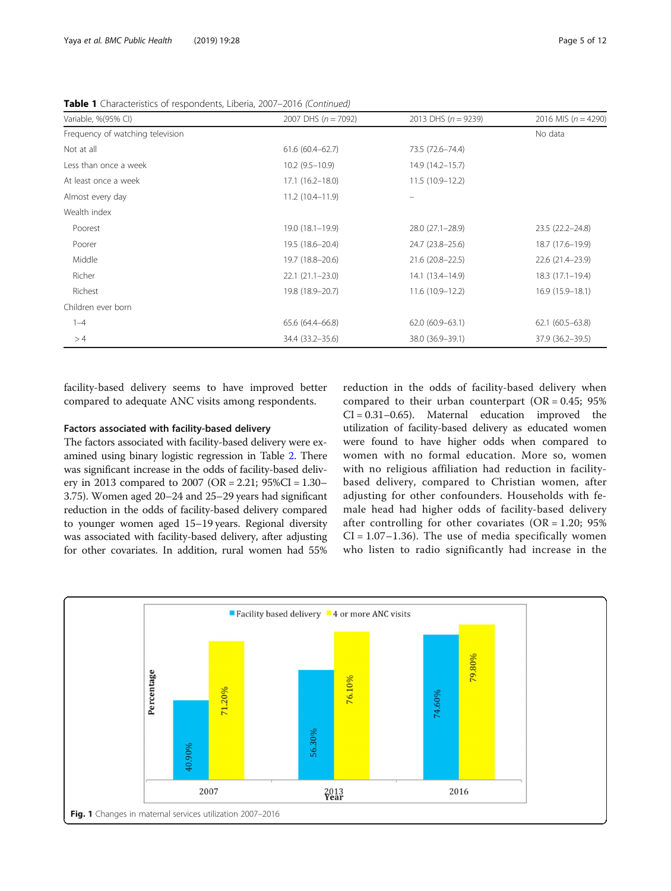| Variable, %(95% CI)              | 2007 DHS $(n = 7092)$ | 2013 DHS $(n = 9239)$ | 2016 MIS ( $n = 4290$ ) |
|----------------------------------|-----------------------|-----------------------|-------------------------|
| Frequency of watching television |                       |                       | No data                 |
| Not at all                       | $61.6(60.4 - 62.7)$   | 73.5 (72.6-74.4)      |                         |
| Less than once a week            | $10.2(9.5-10.9)$      | 14.9 (14.2–15.7)      |                         |
| At least once a week             | $17.1(16.2 - 18.0)$   | $11.5(10.9-12.2)$     |                         |
| Almost every day                 | $11.2(10.4 - 11.9)$   |                       |                         |
| Wealth index                     |                       |                       |                         |
| Poorest                          | 19.0 (18.1–19.9)      | 28.0 (27.1-28.9)      | 23.5 (22.2-24.8)        |
| Poorer                           | 19.5 (18.6-20.4)      | 24.7 (23.8-25.6)      | 18.7 (17.6-19.9)        |
| Middle                           | 19.7 (18.8-20.6)      | 21.6 (20.8-22.5)      | 22.6 (21.4-23.9)        |
| Richer                           | $22.1(21.1-23.0)$     | 14.1 (13.4–14.9)      | 18.3 (17.1-19.4)        |
| Richest                          | 19.8 (18.9-20.7)      | 11.6 (10.9-12.2)      | 16.9 (15.9-18.1)        |
| Children ever born               |                       |                       |                         |
| $1 - 4$                          | 65.6 (64.4-66.8)      | $62.0(60.9 - 63.1)$   | $62.1(60.5 - 63.8)$     |
| >4                               | 34.4 (33.2-35.6)      | 38.0 (36.9-39.1)      | 37.9 (36.2-39.5)        |

<span id="page-4-0"></span>Table 1 Characteristics of respondents, Liberia, 2007-2016 (Continued)

facility-based delivery seems to have improved better compared to adequate ANC visits among respondents.

### Factors associated with facility-based delivery

The factors associated with facility-based delivery were examined using binary logistic regression in Table [2](#page-5-0). There was significant increase in the odds of facility-based delivery in 2013 compared to 2007 (OR = 2.21; 95%CI = 1.30– 3.75). Women aged 20–24 and 25–29 years had significant reduction in the odds of facility-based delivery compared to younger women aged 15–19 years. Regional diversity was associated with facility-based delivery, after adjusting for other covariates. In addition, rural women had 55%

reduction in the odds of facility-based delivery when compared to their urban counterpart ( $OR = 0.45$ ; 95%  $CI = 0.31 - 0.65$ . Maternal education improved the utilization of facility-based delivery as educated women were found to have higher odds when compared to women with no formal education. More so, women with no religious affiliation had reduction in facilitybased delivery, compared to Christian women, after adjusting for other confounders. Households with female head had higher odds of facility-based delivery after controlling for other covariates  $(OR = 1.20; 95\%)$  $CI = 1.07 - 1.36$ . The use of media specifically women who listen to radio significantly had increase in the

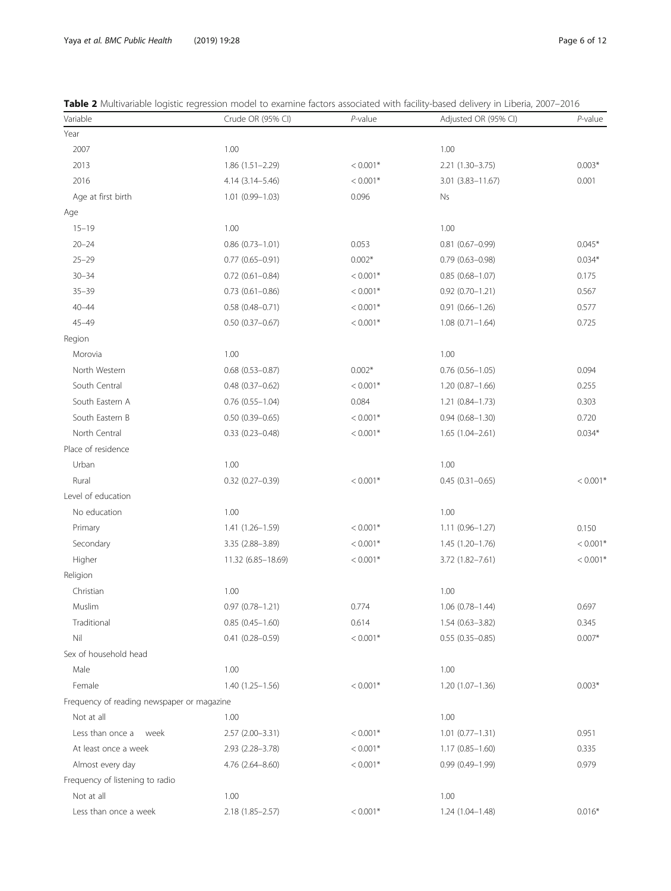<span id="page-5-0"></span>

| Table 2 Multivariable logistic regression model to examine factors associated with facility-based delivery in Liberia, 2007-2016 |  |  |  |
|----------------------------------------------------------------------------------------------------------------------------------|--|--|--|
|----------------------------------------------------------------------------------------------------------------------------------|--|--|--|

| Variable                                   | Crude OR (95% CI)      | $P$ -value | Adjusted OR (95% CI) | $P$ -value |
|--------------------------------------------|------------------------|------------|----------------------|------------|
| Year                                       |                        |            |                      |            |
| 2007                                       | 1.00                   |            | 1.00                 |            |
| 2013                                       | 1.86 (1.51-2.29)       | $< 0.001*$ | 2.21 (1.30-3.75)     | $0.003*$   |
| 2016                                       | 4.14 (3.14 - 5.46)     | $< 0.001*$ | $3.01(3.83 - 11.67)$ | 0.001      |
| Age at first birth                         | $1.01(0.99 - 1.03)$    | 0.096      | Ns                   |            |
| Age                                        |                        |            |                      |            |
| $15 - 19$                                  | 1.00                   |            | 1.00                 |            |
| $20 - 24$                                  | $0.86$ $(0.73 - 1.01)$ | 0.053      | $0.81(0.67 - 0.99)$  | $0.045*$   |
| $25 - 29$                                  | $0.77(0.65 - 0.91)$    | $0.002*$   | $0.79(0.63 - 0.98)$  | $0.034*$   |
| $30 - 34$                                  | $0.72$ $(0.61 - 0.84)$ | $< 0.001*$ | $0.85(0.68 - 1.07)$  | 0.175      |
| $35 - 39$                                  | $0.73$ $(0.61 - 0.86)$ | $< 0.001*$ | $0.92(0.70 - 1.21)$  | 0.567      |
| $40 - 44$                                  | $0.58(0.48 - 0.71)$    | $< 0.001*$ | $0.91(0.66 - 1.26)$  | 0.577      |
| $45 - 49$                                  | $0.50$ $(0.37 - 0.67)$ | $< 0.001*$ | $1.08(0.71 - 1.64)$  | 0.725      |
| Region                                     |                        |            |                      |            |
| Morovia                                    | 1.00                   |            | 1.00                 |            |
| North Western                              | $0.68$ (0.53-0.87)     | $0.002*$   | $0.76(0.56 - 1.05)$  | 0.094      |
| South Central                              | $0.48(0.37 - 0.62)$    | $< 0.001*$ | 1.20 (0.87-1.66)     | 0.255      |
| South Eastern A                            | $0.76$ $(0.55 - 1.04)$ | 0.084      | 1.21 (0.84-1.73)     | 0.303      |
| South Eastern B                            | $0.50(0.39 - 0.65)$    | $< 0.001*$ | $0.94(0.68 - 1.30)$  | 0.720      |
| North Central                              | $0.33(0.23 - 0.48)$    | $< 0.001*$ | $1.65(1.04 - 2.61)$  | $0.034*$   |
| Place of residence                         |                        |            |                      |            |
| Urban                                      | 1.00                   |            | 1.00                 |            |
| Rural                                      | $0.32$ (0.27-0.39)     | $< 0.001*$ | $0.45(0.31 - 0.65)$  | $< 0.001*$ |
| Level of education                         |                        |            |                      |            |
| No education                               | 1.00                   |            | 1.00                 |            |
| Primary                                    | $1.41(1.26 - 1.59)$    | $< 0.001*$ | 1.11 (0.96-1.27)     | 0.150      |
| Secondary                                  | 3.35 (2.88-3.89)       | $< 0.001*$ | $1.45(1.20-1.76)$    | $< 0.001*$ |
| Higher                                     | 11.32 (6.85-18.69)     | $< 0.001*$ | 3.72 (1.82-7.61)     | $< 0.001*$ |
| Religion                                   |                        |            |                      |            |
| Christian                                  | 1.00                   |            | 1.00                 |            |
| Muslim                                     | $0.97(0.78 - 1.21)$    | 0.774      | $1.06(0.78 - 1.44)$  | 0.697      |
| Traditional                                | $0.85(0.45 - 1.60)$    | 0.614      | $1.54(0.63 - 3.82)$  | 0.345      |
| Nil                                        | $0.41(0.28 - 0.59)$    | $< 0.001*$ | $0.55(0.35 - 0.85)$  | $0.007*$   |
| Sex of household head                      |                        |            |                      |            |
| Male                                       | 1.00                   |            | 1.00                 |            |
| Female                                     | 1.40 (1.25-1.56)       | $< 0.001*$ | 1.20 (1.07-1.36)     | $0.003*$   |
| Frequency of reading newspaper or magazine |                        |            |                      |            |
| Not at all                                 | 1.00                   |            | 1.00                 |            |
| Less than once a week                      | 2.57 (2.00-3.31)       | $< 0.001*$ | $1.01(0.77 - 1.31)$  | 0.951      |
| At least once a week                       | 2.93 (2.28-3.78)       | $< 0.001*$ | $1.17(0.85 - 1.60)$  | 0.335      |
| Almost every day                           | 4.76 (2.64-8.60)       | $< 0.001*$ | $0.99(0.49 - 1.99)$  | 0.979      |
| Frequency of listening to radio            |                        |            |                      |            |
| Not at all                                 | 1.00                   |            | 1.00                 |            |
| Less than once a week                      | 2.18 (1.85-2.57)       | $< 0.001*$ | $1.24(1.04 - 1.48)$  | $0.016*$   |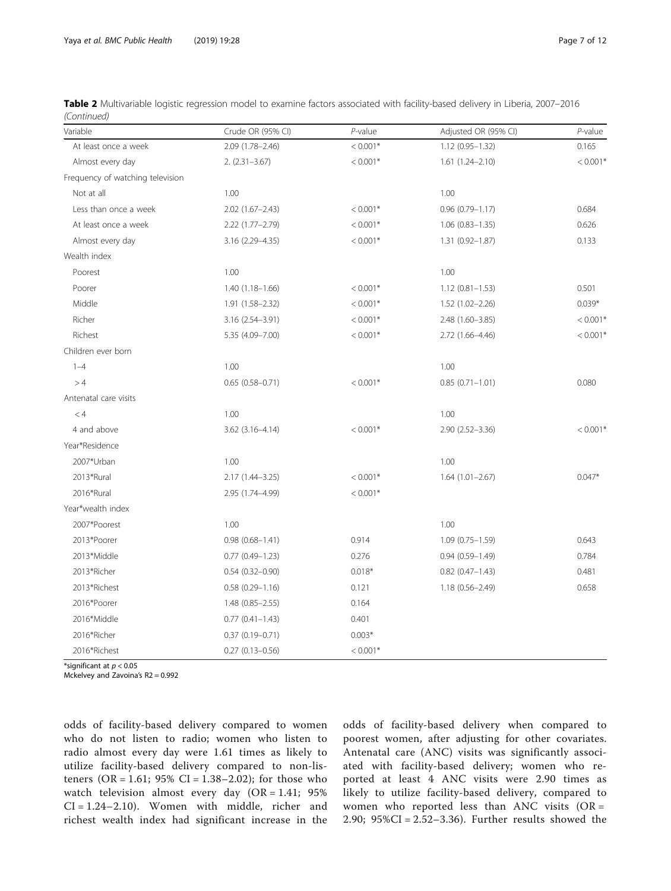| Table 2 Multivariable logistic regression model to examine factors associated with facility-based delivery in Liberia, 2007-2016 |  |  |  |  |  |
|----------------------------------------------------------------------------------------------------------------------------------|--|--|--|--|--|
| (Continued)                                                                                                                      |  |  |  |  |  |

| Variable                         | Crude OR (95% CI)      | $P$ -value | Adjusted OR (95% CI)   | $P$ -value |
|----------------------------------|------------------------|------------|------------------------|------------|
| At least once a week             | 2.09 (1.78-2.46)       | $< 0.001*$ | $1.12(0.95 - 1.32)$    | 0.165      |
| Almost every day                 | $2. (2.31 - 3.67)$     | $< 0.001*$ | $1.61(1.24 - 2.10)$    | $< 0.001*$ |
| Frequency of watching television |                        |            |                        |            |
| Not at all                       | 1.00                   |            | 1.00                   |            |
| Less than once a week            | $2.02$ (1.67-2.43)     | $< 0.001*$ | $0.96(0.79 - 1.17)$    | 0.684      |
| At least once a week             | 2.22 (1.77-2.79)       | $< 0.001*$ | $1.06(0.83 - 1.35)$    | 0.626      |
| Almost every day                 | 3.16 (2.29-4.35)       | $< 0.001*$ | $1.31(0.92 - 1.87)$    | 0.133      |
| Wealth index                     |                        |            |                        |            |
| Poorest                          | 1.00                   |            | 1.00                   |            |
| Poorer                           | $1.40(1.18 - 1.66)$    | $< 0.001*$ | $1.12(0.81 - 1.53)$    | 0.501      |
| Middle                           | $1.91(1.58 - 2.32)$    | $< 0.001*$ | 1.52 (1.02-2.26)       | $0.039*$   |
| Richer                           | 3.16 (2.54-3.91)       | $< 0.001*$ | 2.48 (1.60-3.85)       | $< 0.001*$ |
| Richest                          | 5.35 (4.09-7.00)       | $< 0.001*$ | 2.72 (1.66-4.46)       | $< 0.001*$ |
| Children ever born               |                        |            |                        |            |
| $1 - 4$                          | 1.00                   |            | 1.00                   |            |
| >4                               | $0.65(0.58 - 0.71)$    | $< 0.001*$ | $0.85(0.71 - 1.01)$    | 0.080      |
| Antenatal care visits            |                        |            |                        |            |
| < 4                              | 1.00                   |            | 1.00                   |            |
| 4 and above                      | $3.62$ $(3.16 - 4.14)$ | $< 0.001*$ | $2.90(2.52 - 3.36)$    | $< 0.001*$ |
| Year*Residence                   |                        |            |                        |            |
| 2007*Urban                       | 1.00                   |            | 1.00                   |            |
| 2013*Rural                       | 2.17 (1.44-3.25)       | $< 0.001*$ | $1.64(1.01 - 2.67)$    | $0.047*$   |
| 2016*Rural                       | 2.95 (1.74-4.99)       | $< 0.001*$ |                        |            |
| Year*wealth index                |                        |            |                        |            |
| 2007*Poorest                     | 1.00                   |            | 1.00                   |            |
| 2013*Poorer                      | $0.98(0.68 - 1.41)$    | 0.914      | $1.09(0.75 - 1.59)$    | 0.643      |
| 2013*Middle                      | $0.77$ $(0.49 - 1.23)$ | 0.276      | $0.94(0.59 - 1.49)$    | 0.784      |
| 2013*Richer                      | $0.54(0.32 - 0.90)$    | $0.018*$   | $0.82$ $(0.47 - 1.43)$ | 0.481      |
| 2013*Richest                     | $0.58(0.29 - 1.16)$    | 0.121      | 1.18 (0.56-2.49)       | 0.658      |
| 2016*Poorer                      | $1.48(0.85 - 2.55)$    | 0.164      |                        |            |
| 2016*Middle                      | $0.77$ $(0.41 - 1.43)$ | 0.401      |                        |            |
| 2016*Richer                      | $0.37(0.19 - 0.71)$    | $0.003*$   |                        |            |
| 2016*Richest                     | $0.27(0.13 - 0.56)$    | $< 0.001*$ |                        |            |

\*significant at  $p < 0.05$ 

Mckelvey and Zavoina's R2 = 0.992

odds of facility-based delivery compared to women who do not listen to radio; women who listen to radio almost every day were 1.61 times as likely to utilize facility-based delivery compared to non-listeners (OR = 1.61;  $95\%$  CI = 1.38–2.02); for those who watch television almost every day (OR = 1.41; 95% CI = 1.24–2.10). Women with middle, richer and richest wealth index had significant increase in the odds of facility-based delivery when compared to poorest women, after adjusting for other covariates. Antenatal care (ANC) visits was significantly associated with facility-based delivery; women who reported at least 4 ANC visits were 2.90 times as likely to utilize facility-based delivery, compared to women who reported less than ANC visits (OR = 2.90; 95%CI = 2.52–3.36). Further results showed the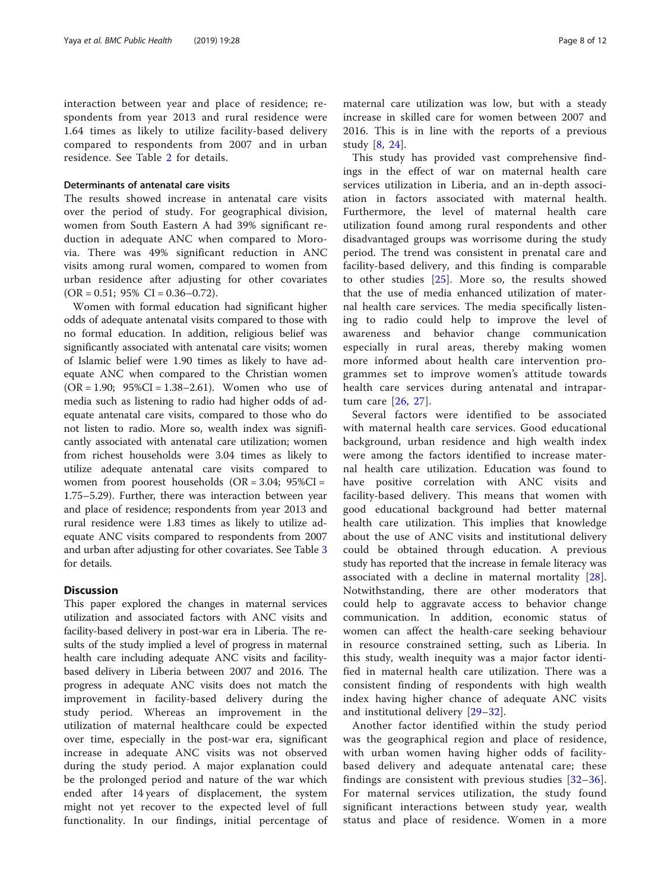interaction between year and place of residence; respondents from year 2013 and rural residence were 1.64 times as likely to utilize facility-based delivery compared to respondents from 2007 and in urban residence. See Table [2](#page-5-0) for details.

### Determinants of antenatal care visits

The results showed increase in antenatal care visits over the period of study. For geographical division, women from South Eastern A had 39% significant reduction in adequate ANC when compared to Morovia. There was 49% significant reduction in ANC visits among rural women, compared to women from urban residence after adjusting for other covariates  $(OR = 0.51; 95\% CI = 0.36 - 0.72).$ 

Women with formal education had significant higher odds of adequate antenatal visits compared to those with no formal education. In addition, religious belief was significantly associated with antenatal care visits; women of Islamic belief were 1.90 times as likely to have adequate ANC when compared to the Christian women  $(OR = 1.90; 95\% CI = 1.38 - 2.61)$ . Women who use of media such as listening to radio had higher odds of adequate antenatal care visits, compared to those who do not listen to radio. More so, wealth index was significantly associated with antenatal care utilization; women from richest households were 3.04 times as likely to utilize adequate antenatal care visits compared to women from poorest households  $(OR = 3.04; 95\%CI =$ 1.75–5.29). Further, there was interaction between year and place of residence; respondents from year 2013 and rural residence were 1.83 times as likely to utilize adequate ANC visits compared to respondents from 2007 and urban after adjusting for other covariates. See Table [3](#page-8-0) for details.

### **Discussion**

This paper explored the changes in maternal services utilization and associated factors with ANC visits and facility-based delivery in post-war era in Liberia. The results of the study implied a level of progress in maternal health care including adequate ANC visits and facilitybased delivery in Liberia between 2007 and 2016. The progress in adequate ANC visits does not match the improvement in facility-based delivery during the study period. Whereas an improvement in the utilization of maternal healthcare could be expected over time, especially in the post-war era, significant increase in adequate ANC visits was not observed during the study period. A major explanation could be the prolonged period and nature of the war which ended after 14 years of displacement, the system might not yet recover to the expected level of full functionality. In our findings, initial percentage of

maternal care utilization was low, but with a steady increase in skilled care for women between 2007 and 2016. This is in line with the reports of a previous study [\[8](#page-10-0), [24](#page-11-0)].

This study has provided vast comprehensive findings in the effect of war on maternal health care services utilization in Liberia, and an in-depth association in factors associated with maternal health. Furthermore, the level of maternal health care utilization found among rural respondents and other disadvantaged groups was worrisome during the study period. The trend was consistent in prenatal care and facility-based delivery, and this finding is comparable to other studies [\[25](#page-11-0)]. More so, the results showed that the use of media enhanced utilization of maternal health care services. The media specifically listening to radio could help to improve the level of awareness and behavior change communication especially in rural areas, thereby making women more informed about health care intervention programmes set to improve women's attitude towards health care services during antenatal and intrapartum care [[26,](#page-11-0) [27](#page-11-0)].

Several factors were identified to be associated with maternal health care services. Good educational background, urban residence and high wealth index were among the factors identified to increase maternal health care utilization. Education was found to have positive correlation with ANC visits and facility-based delivery. This means that women with good educational background had better maternal health care utilization. This implies that knowledge about the use of ANC visits and institutional delivery could be obtained through education. A previous study has reported that the increase in female literacy was associated with a decline in maternal mortality [\[28](#page-11-0)]. Notwithstanding, there are other moderators that could help to aggravate access to behavior change communication. In addition, economic status of women can affect the health-care seeking behaviour in resource constrained setting, such as Liberia. In this study, wealth inequity was a major factor identified in maternal health care utilization. There was a consistent finding of respondents with high wealth index having higher chance of adequate ANC visits and institutional delivery [[29](#page-11-0)–[32\]](#page-11-0).

Another factor identified within the study period was the geographical region and place of residence, with urban women having higher odds of facilitybased delivery and adequate antenatal care; these findings are consistent with previous studies  $[32-36]$  $[32-36]$  $[32-36]$  $[32-36]$  $[32-36]$ . For maternal services utilization, the study found significant interactions between study year, wealth status and place of residence. Women in a more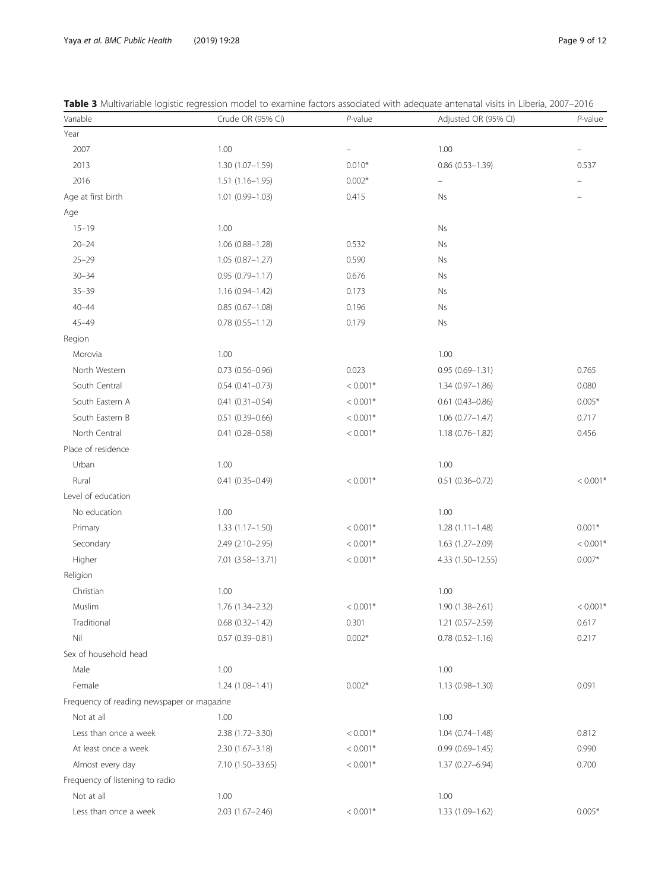| Page 9 of 1 |  |  |
|-------------|--|--|
|             |  |  |

| Variable                                   | Crude OR (95% CI)      | $P$ -value               | Adjusted OR (95% CI)     | $P$ -value             |
|--------------------------------------------|------------------------|--------------------------|--------------------------|------------------------|
| Year                                       |                        |                          |                          |                        |
| 2007                                       | 1.00                   | $\overline{\phantom{0}}$ | 1.00                     |                        |
| 2013                                       | $1.30(1.07 - 1.59)$    | $0.010*$                 | $0.86$ $(0.53 - 1.39)$   | 0.537                  |
| 2016                                       | $1.51(1.16 - 1.95)$    | $0.002*$                 | $\overline{\phantom{0}}$ |                        |
| Age at first birth                         | 1.01 (0.99-1.03)       | 0.415                    | <b>Ns</b>                |                        |
| Age                                        |                        |                          |                          |                        |
| $15 - 19$                                  | 1.00                   |                          | Ns                       |                        |
| $20 - 24$                                  | 1.06 (0.88-1.28)       | 0.532                    | <b>Ns</b>                |                        |
| $25 - 29$                                  | $1.05(0.87 - 1.27)$    | 0.590                    | <b>Ns</b>                |                        |
| $30 - 34$                                  | $0.95(0.79 - 1.17)$    | 0.676                    | Ns                       |                        |
| $35 - 39$                                  | 1.16 (0.94-1.42)       | 0.173                    | <b>Ns</b>                |                        |
| $40 - 44$                                  | $0.85(0.67 - 1.08)$    | 0.196                    | <b>Ns</b>                |                        |
| $45 - 49$                                  | $0.78$ $(0.55 - 1.12)$ | 0.179                    | Ns                       |                        |
| Region                                     |                        |                          |                          |                        |
| Morovia                                    | 1.00                   |                          | 1.00                     |                        |
| North Western                              | $0.73$ $(0.56 - 0.96)$ | 0.023                    | $0.95(0.69 - 1.31)$      | 0.765                  |
| South Central                              | $0.54(0.41 - 0.73)$    | $< 0.001*$               | $1.34(0.97 - 1.86)$      | 0.080                  |
| South Eastern A                            | $0.41(0.31 - 0.54)$    | $< 0.001*$               | $0.61$ $(0.43 - 0.86)$   | $0.005*$               |
| South Eastern B                            | $0.51(0.39 - 0.66)$    | $< 0.001*$               | $1.06(0.77 - 1.47)$      | 0.717                  |
| North Central                              | $0.41(0.28 - 0.58)$    | $< 0.001*$               | 1.18 (0.76-1.82)         | 0.456                  |
| Place of residence                         |                        |                          |                          |                        |
| Urban                                      | 1.00                   |                          | 1.00                     |                        |
| Rural                                      | $0.41(0.35 - 0.49)$    | $< 0.001*$               | $0.51(0.36 - 0.72)$      | $< 0.001$ <sup>*</sup> |
| Level of education                         |                        |                          |                          |                        |
| No education                               | 1.00                   |                          | 1.00                     |                        |
| Primary                                    | $1.33(1.17 - 1.50)$    | $< 0.001*$               | $1.28(1.11 - 1.48)$      | $0.001*$               |
| Secondary                                  | 2.49 (2.10-2.95)       | $< 0.001*$               | $1.63(1.27 - 2.09)$      | $< 0.001$ <sup>*</sup> |
| Higher                                     | 7.01 (3.58-13.71)      | $< 0.001*$               | 4.33 (1.50-12.55)        | $0.007*$               |
| Religion                                   |                        |                          |                          |                        |
| Christian                                  | 1.00                   |                          | 1.00                     |                        |
| Muslim                                     | 1.76 (1.34-2.32)       | $< 0.001*$               | $1.90(1.38 - 2.61)$      | $< 0.001$ <sup>*</sup> |
| Traditional                                | $0.68$ $(0.32 - 1.42)$ | 0.301                    | 1.21 (0.57-2.59)         | 0.617                  |
| Nil                                        | $0.57(0.39 - 0.81)$    | $0.002*$                 | $0.78(0.52 - 1.16)$      | 0.217                  |
| Sex of household head                      |                        |                          |                          |                        |
| Male                                       | 1.00                   |                          | 1.00                     |                        |
| Female                                     | 1.24 (1.08-1.41)       | $0.002*$                 | 1.13 (0.98-1.30)         | 0.091                  |
| Frequency of reading newspaper or magazine |                        |                          |                          |                        |
| Not at all                                 | 1.00                   |                          | 1.00                     |                        |
| Less than once a week                      | 2.38 (1.72-3.30)       | $< 0.001*$               | $1.04(0.74 - 1.48)$      | 0.812                  |
| At least once a week                       | $2.30(1.67 - 3.18)$    | $< 0.001*$               | $0.99(0.69 - 1.45)$      | 0.990                  |
| Almost every day                           | 7.10 (1.50-33.65)      | $< 0.001*$               | 1.37 (0.27-6.94)         | 0.700                  |
| Frequency of listening to radio            |                        |                          |                          |                        |
| Not at all                                 | 1.00                   |                          | 1.00                     |                        |
| Less than once a week                      | $2.03(1.67 - 2.46)$    | $< 0.001*$               | 1.33 (1.09-1.62)         | $0.005*$               |

<span id="page-8-0"></span>

| <b>Table 3</b> Multivariable logistic regression model to examine factors associated with adequate antenatal visits in Liberia, 2007–2016 |  |  |  |
|-------------------------------------------------------------------------------------------------------------------------------------------|--|--|--|
|-------------------------------------------------------------------------------------------------------------------------------------------|--|--|--|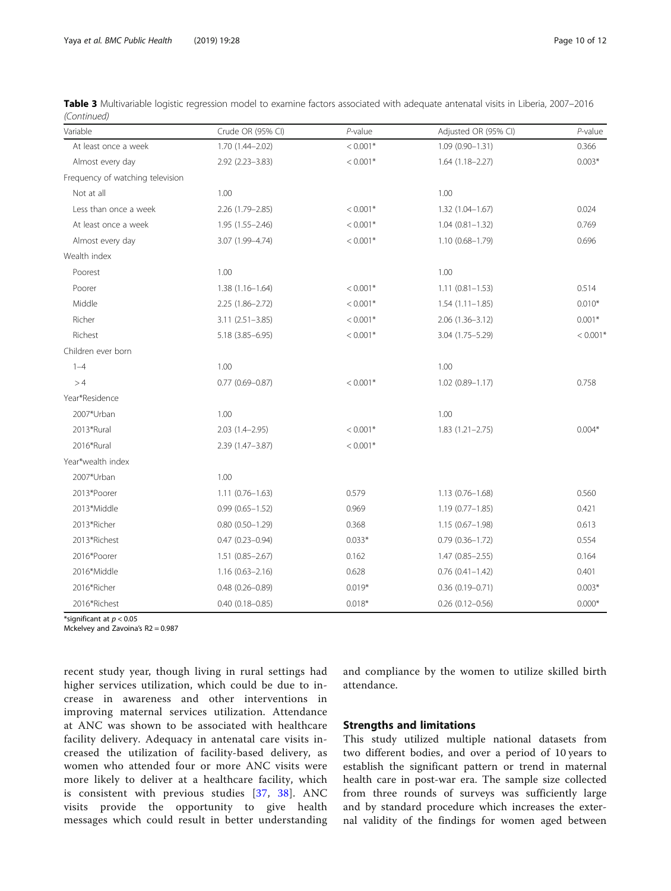| Table 3 Multivariable logistic regression model to examine factors associated with adequate antenatal visits in Liberia, 2007–2016 |  |  |
|------------------------------------------------------------------------------------------------------------------------------------|--|--|
| (Continued)                                                                                                                        |  |  |

| Variable                         | Crude OR (95% CI)      | $P$ -value | Adjusted OR (95% CI) | $P$ -value |
|----------------------------------|------------------------|------------|----------------------|------------|
| At least once a week             | 1.70 (1.44-2.02)       | $< 0.001*$ | $1.09(0.90 - 1.31)$  | 0.366      |
| Almost every day                 | $2.92$ $(2.23 - 3.83)$ | $< 0.001*$ | $1.64(1.18 - 2.27)$  | $0.003*$   |
| Frequency of watching television |                        |            |                      |            |
| Not at all                       | 1.00                   |            | 1.00                 |            |
| Less than once a week            | 2.26 (1.79-2.85)       | $< 0.001*$ | $1.32(1.04 - 1.67)$  | 0.024      |
| At least once a week             | $1.95(1.55 - 2.46)$    | $< 0.001*$ | $1.04(0.81 - 1.32)$  | 0.769      |
| Almost every day                 | 3.07 (1.99-4.74)       | $< 0.001*$ | $1.10(0.68 - 1.79)$  | 0.696      |
| Wealth index                     |                        |            |                      |            |
| Poorest                          | 1.00                   |            | 1.00                 |            |
| Poorer                           | $1.38(1.16 - 1.64)$    | $< 0.001*$ | $1.11(0.81 - 1.53)$  | 0.514      |
| Middle                           | $2.25(1.86 - 2.72)$    | $< 0.001*$ | $1.54(1.11 - 1.85)$  | $0.010*$   |
| Richer                           | $3.11(2.51 - 3.85)$    | $< 0.001*$ | $2.06(1.36 - 3.12)$  | $0.001*$   |
| Richest                          | 5.18 (3.85 - 6.95)     | $< 0.001*$ | $3.04(1.75 - 5.29)$  | $< 0.001*$ |
| Children ever born               |                        |            |                      |            |
| $1 - 4$                          | 1.00                   |            | 1.00                 |            |
| >4                               | $0.77(0.69 - 0.87)$    | $< 0.001*$ | $1.02(0.89 - 1.17)$  | 0.758      |
| Year*Residence                   |                        |            |                      |            |
| 2007*Urban                       | 1.00                   |            | 1.00                 |            |
| 2013*Rural                       | $2.03(1.4 - 2.95)$     | $< 0.001*$ | $1.83(1.21 - 2.75)$  | $0.004*$   |
| 2016*Rural                       | 2.39 (1.47-3.87)       | $< 0.001*$ |                      |            |
| Year*wealth index                |                        |            |                      |            |
| 2007*Urban                       | 1.00                   |            |                      |            |
| 2013*Poorer                      | $1.11(0.76 - 1.63)$    | 0.579      | $1.13(0.76 - 1.68)$  | 0.560      |
| 2013*Middle                      | $0.99(0.65 - 1.52)$    | 0.969      | $1.19(0.77 - 1.85)$  | 0.421      |
| 2013*Richer                      | $0.80(0.50 - 1.29)$    | 0.368      | $1.15(0.67 - 1.98)$  | 0.613      |
| 2013*Richest                     | $0.47(0.23 - 0.94)$    | $0.033*$   | $0.79(0.36 - 1.72)$  | 0.554      |
| 2016*Poorer                      | $1.51(0.85 - 2.67)$    | 0.162      | $1.47(0.85 - 2.55)$  | 0.164      |
| 2016*Middle                      | $1.16(0.63 - 2.16)$    | 0.628      | $0.76(0.41 - 1.42)$  | 0.401      |
| 2016*Richer                      | $0.48$ $(0.26 - 0.89)$ | $0.019*$   | $0.36(0.19 - 0.71)$  | $0.003*$   |
| 2016*Richest                     | $0.40(0.18 - 0.85)$    | $0.018*$   | $0.26$ (0.12-0.56)   | $0.000*$   |

\*significant at  $p < 0.05$ 

Mckelvey and Zavoina's R2 = 0.987

recent study year, though living in rural settings had higher services utilization, which could be due to increase in awareness and other interventions in improving maternal services utilization. Attendance at ANC was shown to be associated with healthcare facility delivery. Adequacy in antenatal care visits increased the utilization of facility-based delivery, as women who attended four or more ANC visits were more likely to deliver at a healthcare facility, which is consistent with previous studies [\[37,](#page-11-0) [38\]](#page-11-0). ANC visits provide the opportunity to give health messages which could result in better understanding

and compliance by the women to utilize skilled birth attendance.

### Strengths and limitations

This study utilized multiple national datasets from two different bodies, and over a period of 10 years to establish the significant pattern or trend in maternal health care in post-war era. The sample size collected from three rounds of surveys was sufficiently large and by standard procedure which increases the external validity of the findings for women aged between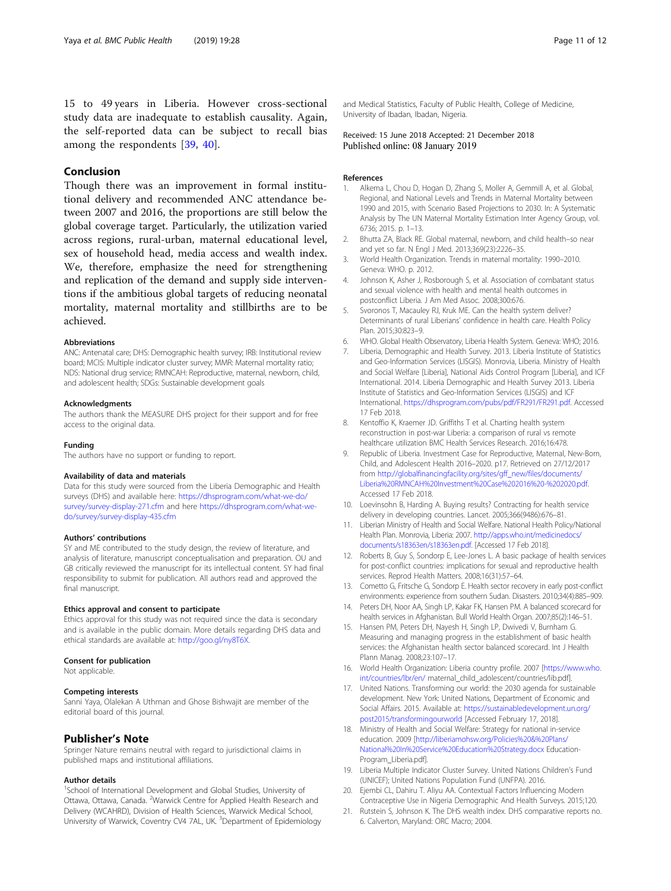<span id="page-10-0"></span>15 to 49 years in Liberia. However cross-sectional study data are inadequate to establish causality. Again, the self-reported data can be subject to recall bias among the respondents [[39,](#page-11-0) [40\]](#page-11-0).

### Conclusion

Though there was an improvement in formal institutional delivery and recommended ANC attendance between 2007 and 2016, the proportions are still below the global coverage target. Particularly, the utilization varied across regions, rural-urban, maternal educational level, sex of household head, media access and wealth index. We, therefore, emphasize the need for strengthening and replication of the demand and supply side interventions if the ambitious global targets of reducing neonatal mortality, maternal mortality and stillbirths are to be achieved.

### Abbreviations

ANC: Antenatal care; DHS: Demographic health survey; IRB: Institutional review board; MCIS: Multiple indicator cluster survey; MMR: Maternal mortality ratio; NDS: National drug service; RMNCAH: Reproductive, maternal, newborn, child, and adolescent health; SDGs: Sustainable development goals

#### Acknowledgments

The authors thank the MEASURE DHS project for their support and for free access to the original data.

#### Funding

The authors have no support or funding to report.

#### Availability of data and materials

Data for this study were sourced from the Liberia Demographic and Health surveys (DHS) and available here: [https://dhsprogram.com/what-we-do/](https://dhsprogram.com/what-we-do/survey/survey-display-271.cfm) [survey/survey-display-271.cfm](https://dhsprogram.com/what-we-do/survey/survey-display-271.cfm) and here [https://dhsprogram.com/what-we](https://dhsprogram.com/what-we-do/survey/survey-display-435.cfm)[do/survey/survey-display-435.cfm](https://dhsprogram.com/what-we-do/survey/survey-display-435.cfm)

#### Authors' contributions

SY and ME contributed to the study design, the review of literature, and analysis of literature, manuscript conceptualisation and preparation. OU and GB critically reviewed the manuscript for its intellectual content. SY had final responsibility to submit for publication. All authors read and approved the final manuscript.

#### Ethics approval and consent to participate

Ethics approval for this study was not required since the data is secondary and is available in the public domain. More details regarding DHS data and ethical standards are available at: [http://goo.gl/ny8T6X.](http://goo.gl/ny8T6X)

#### Consent for publication

Not applicable.

### Competing interests

Sanni Yaya, Olalekan A Uthman and Ghose Bishwajit are member of the editorial board of this journal.

#### Publisher's Note

Springer Nature remains neutral with regard to jurisdictional claims in published maps and institutional affiliations.

#### Author details

<sup>1</sup>School of International Development and Global Studies, University of Ottawa, Ottawa, Canada. <sup>2</sup>Warwick Centre for Applied Health Research and Delivery (WCAHRD), Division of Health Sciences, Warwick Medical School, University of Warwick, Coventry CV4 7AL, UK. <sup>3</sup>Department of Epidemiology and Medical Statistics, Faculty of Public Health, College of Medicine, University of Ibadan, Ibadan, Nigeria.

Received: 15 June 2018 Accepted: 21 December 2018 Published online: 08 January 2019

### References

- Alkema L, Chou D, Hogan D, Zhang S, Moller A, Gemmill A, et al. Global, Regional, and National Levels and Trends in Maternal Mortality between 1990 and 2015, with Scenario Based Projections to 2030. In: A Systematic Analysis by The UN Maternal Mortality Estimation Inter Agency Group, vol. 6736; 2015. p. 1–13.
- 2. Bhutta ZA, Black RE. Global maternal, newborn, and child health–so near and yet so far. N Engl J Med. 2013;369(23):2226–35.
- 3. World Health Organization. Trends in maternal mortality: 1990–2010. Geneva: WHO. p. 2012.
- 4. Johnson K, Asher J, Rosborough S, et al. Association of combatant status and sexual violence with health and mental health outcomes in postconflict Liberia. J Am Med Assoc. 2008;300:676.
- 5. Svoronos T, Macauley RJ, Kruk ME. Can the health system deliver? Determinants of rural Liberians' confidence in health care. Health Policy Plan. 2015;30:823–9.
- 6. WHO. Global Health Observatory, Liberia Health System. Geneva: WHO; 2016.
- Liberia, Demographic and Health Survey. 2013. Liberia Institute of Statistics and Geo-Information Services (LISGIS). Monrovia, Liberia. Ministry of Health and Social Welfare [Liberia], National Aids Control Program [Liberia], and ICF International. 2014. Liberia Demographic and Health Survey 2013. Liberia Institute of Statistics and Geo-Information Services (LISGIS) and ICF International. <https://dhsprogram.com/pubs/pdf/FR291/FR291.pdf>. Accessed 17 Feb 2018.
- 8. Kentoffio K, Kraemer JD. Griffiths T et al. Charting health system reconstruction in post-war Liberia: a comparison of rural vs remote healthcare utilization BMC Health Services Research. 2016;16:478.
- 9. Republic of Liberia. Investment Case for Reproductive, Maternal, New-Born, Child, and Adolescent Health 2016–2020. p17. Retrieved on 27/12/2017 from [http://globalfinancingfacility.org/sites/gff\\_new/files/documents/](http://globalfinancingfacility.org/sites/gff_new/files/documents/Liberia%20RMNCAH%20Investment%20Case%202016%20-%202020.pdf) [Liberia%20RMNCAH%20Investment%20Case%202016%20-%202020.pdf.](http://globalfinancingfacility.org/sites/gff_new/files/documents/Liberia%20RMNCAH%20Investment%20Case%202016%20-%202020.pdf) Accessed 17 Feb 2018.
- 10. Loevinsohn B, Harding A. Buying results? Contracting for health service delivery in developing countries. Lancet. 2005;366(9486):676–81.
- 11. Liberian Ministry of Health and Social Welfare. National Health Policy/National Health Plan. Monrovia, Liberia: 2007. [http://apps.who.int/medicinedocs/](http://apps.who.int/medicinedocs/documents/s18363en/s18363en.pdf) [documents/s18363en/s18363en.pdf.](http://apps.who.int/medicinedocs/documents/s18363en/s18363en.pdf) [Accessed 17 Feb 2018].
- 12. Roberts B, Guy S, Sondorp E, Lee-Jones L. A basic package of health services for post-conflict countries: implications for sexual and reproductive health services. Reprod Health Matters. 2008;16(31):57–64.
- 13. Cometto G, Fritsche G, Sondorp E. Health sector recovery in early post-conflict environments: experience from southern Sudan. Disasters. 2010;34(4):885–909.
- 14. Peters DH, Noor AA, Singh LP, Kakar FK, Hansen PM. A balanced scorecard for health services in Afghanistan. Bull World Health Organ. 2007;85(2):146–51.
- 15. Hansen PM, Peters DH, Nayesh H, Singh LP, Dwivedi V, Burnham G. Measuring and managing progress in the establishment of basic health services: the Afghanistan health sector balanced scorecard. Int J Health Plann Manag. 2008;23:107–17.
- 16. World Health Organization: Liberia country profile. 2007 [[https://www.who.](https://www.who.int/countries/lbr/en/) [int/countries/lbr/en/](https://www.who.int/countries/lbr/en/) maternal\_child\_adolescent/countries/lib.pdf].
- 17. United Nations. Transforming our world: the 2030 agenda for sustainable development. New York: United Nations, Department of Economic and Social Affairs. 2015. Available at: [https://sustainabledevelopment.un.org/](https://sustainabledevelopment.un.org/post2015/transformingourworld) [post2015/transformingourworld](https://sustainabledevelopment.un.org/post2015/transformingourworld) [Accessed February 17, 2018].
- 18. Ministry of Health and Social Welfare: Strategy for national in-service education. 2009 [\[http://liberiamohsw.org/Policies%20&%20Plans/](http://liberiamohsw.org/Policies%20&%20Plans/National%20In%20Service%20Education%20Strategy.docx) [National%20In%20Service%20Education%20Strategy.docx](http://liberiamohsw.org/Policies%20&%20Plans/National%20In%20Service%20Education%20Strategy.docx) Education-Program\_Liberia.pdf].
- 19. Liberia Multiple Indicator Cluster Survey. United Nations Children's Fund (UNICEF); United Nations Population Fund (UNFPA). 2016.
- 20. Ejembi CL, Dahiru T. Aliyu AA. Contextual Factors Influencing Modern Contraceptive Use in Nigeria Demographic And Health Surveys. 2015;120.
- 21. Rutstein S, Johnson K. The DHS wealth index. DHS comparative reports no. 6. Calverton, Maryland: ORC Macro; 2004.